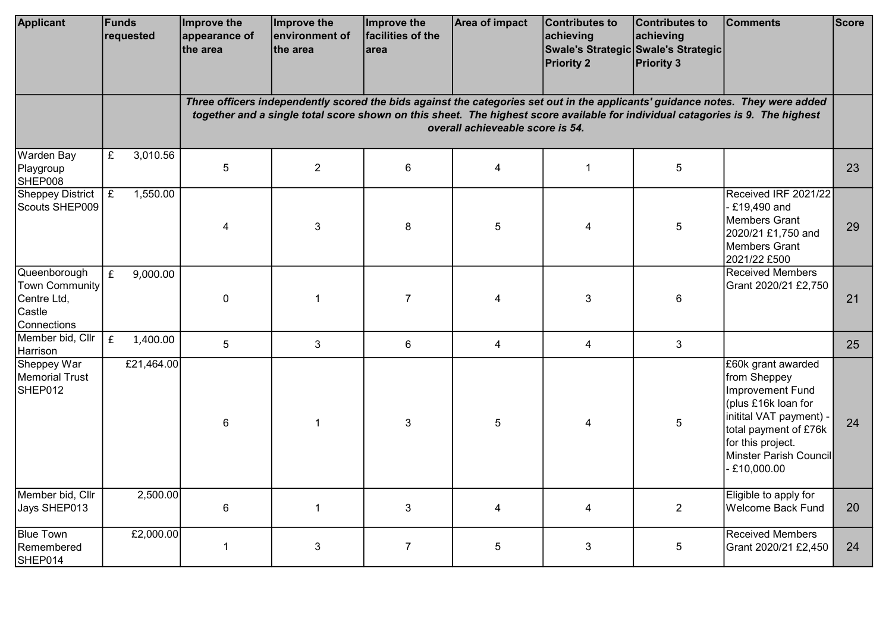| <b>Applicant</b>                                                              | Funds<br>requested             | Improve the<br>appearance of<br>the area                                                                                                                                                                                                                                                             | Improve the<br>environment of<br>the area | Improve the<br>facilities of the<br>larea | <b>Area of impact</b>   | Contributes to<br>achieving<br><b>Priority 2</b> | Contributes to<br>achieving<br>Swale's Strategic Swale's Strategic<br><b>Priority 3</b> | <b>Comments</b>                                                                                                                                                                                   | <b>Score</b> |  |  |
|-------------------------------------------------------------------------------|--------------------------------|------------------------------------------------------------------------------------------------------------------------------------------------------------------------------------------------------------------------------------------------------------------------------------------------------|-------------------------------------------|-------------------------------------------|-------------------------|--------------------------------------------------|-----------------------------------------------------------------------------------------|---------------------------------------------------------------------------------------------------------------------------------------------------------------------------------------------------|--------------|--|--|
|                                                                               |                                | Three officers independently scored the bids against the categories set out in the applicants' guidance notes. They were added<br>together and a single total score shown on this sheet. The highest score available for individual catagories is 9. The highest<br>overall achieveable score is 54. |                                           |                                           |                         |                                                  |                                                                                         |                                                                                                                                                                                                   |              |  |  |
| Warden Bay<br>Playgroup<br>SHEP008                                            | £<br>3,010.56                  | 5                                                                                                                                                                                                                                                                                                    | $\overline{2}$                            | 6                                         | $\overline{\mathbf{4}}$ | $\mathbf{1}$                                     | 5                                                                                       |                                                                                                                                                                                                   | 23           |  |  |
| <b>Sheppey District</b><br>Scouts SHEP009                                     | 1,550.00<br>$\overline{f}$     | 4                                                                                                                                                                                                                                                                                                    | 3                                         | 8                                         | $\overline{5}$          | 4                                                | 5                                                                                       | Received IRF 2021/22<br>$- E19,490$ and<br>Members Grant<br>2020/21 £1,750 and<br>Members Grant<br>2021/22 £500                                                                                   | 29           |  |  |
| Queenborough<br><b>Town Community</b><br>Centre Ltd,<br>Castle<br>Connections | f<br>9,000.00                  | $\pmb{0}$                                                                                                                                                                                                                                                                                            | $\mathbf 1$                               | $\overline{7}$                            | 4                       | 3                                                | 6                                                                                       | <b>Received Members</b><br>Grant 2020/21 £2,750                                                                                                                                                   | 21           |  |  |
| Member bid, Cllr<br>Harrison                                                  | $\pmb{\mathsf{f}}$<br>1,400.00 | 5                                                                                                                                                                                                                                                                                                    | 3                                         | 6                                         | $\overline{4}$          | 4                                                | 3                                                                                       |                                                                                                                                                                                                   | 25           |  |  |
| Sheppey War<br>Memorial Trust<br>SHEP012                                      | £21,464.00                     | 6                                                                                                                                                                                                                                                                                                    | $\mathbf{1}$                              | 3                                         | 5                       | 4                                                | 5                                                                                       | £60k grant awarded<br>from Sheppey<br>Improvement Fund<br>plus £16k loan for<br>initital VAT payment) -<br>total payment of £76k<br>for this project.<br>Minster Parish Council<br>$- E10,000.00$ | 24           |  |  |
| Member bid, Cllr<br>Jays SHEP013                                              | 2,500.00                       | 6                                                                                                                                                                                                                                                                                                    | $\mathbf{1}$                              | 3                                         | $\overline{\mathbf{4}}$ | 4                                                | $\overline{2}$                                                                          | Eligible to apply for<br>Welcome Back Fund                                                                                                                                                        | 20           |  |  |
| <b>Blue Town</b><br>Remembered<br>SHEP014                                     | £2,000.00                      | 1                                                                                                                                                                                                                                                                                                    | 3                                         | $\overline{7}$                            | 5                       | 3                                                | 5                                                                                       | <b>Received Members</b><br>Grant 2020/21 £2,450                                                                                                                                                   | 24           |  |  |